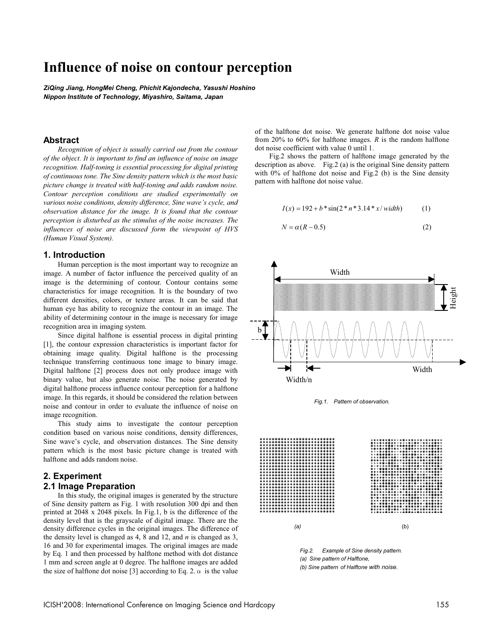# **Influence of noise on contour perception**

*ZiQing Jiang, HongMei Cheng, Phichit Kajondecha, Yasushi Hoshino Nippon Institute of Technology, Miyashiro, Saitama, Japan*

#### **Abstract**

*Recognition of object is usually carried out from the contour of the object. It is important to find an influence of noise on image recognition. Half-toning is essential processing for digital printing of continuous tone. The Sine density pattern which is the most basic picture change is treated with half-toning and adds random noise. Contour perception conditions are studied experimentally on various noise conditions, density difference, Sine wave's cycle, and observation distance for the image. It is found that the contour perception is disturbed as the stimulus of the noise increases. The influences of noise are discussed form the viewpoint of HVS (Human Visual System).*

#### **1. Introduction**

Human perception is the most important way to recognize an image. A number of factor influence the perceived quality of an image is the determining of contour. Contour contains some characteristics for image recognition. It is the boundary of two different densities, colors, or texture areas. It can be said that human eye has ability to recognize the contour in an image. The ability of determining contour in the image is necessary for image recognition area in imaging system.

Since digital halftone is essential process in digital printing [1], the contour expression characteristics is important factor for obtaining image quality. Digital halftone is the processing technique transferring continuous tone image to binary image. Digital halftone [2] process does not only produce image with binary value, but also generate noise. The noise generated by digital halftone process influence contour perception for a halftone image. In this regards, it should be considered the relation between noise and contour in order to evaluate the influence of noise on image recognition.

This study aims to investigate the contour perception condition based on various noise conditions, density differences, Sine wave's cycle, and observation distances. The Sine density pattern which is the most basic picture change is treated with halftone and adds random noise.

#### **2. Experiment 2.1 Image Preparation**

In this study, the original images is generated by the structure of Sine density pattern as Fig. 1 with resolution 300 dpi and then printed at 2048 x 2048 pixels. In Fig.1, b is the difference of the density level that is the grayscale of digital image. There are the density difference cycles in the original images. The difference of the density level is changed as 4, 8 and 12, and *n* is changed as 3, 16 and 30 for experimental images. The original images are made by Eq. 1 and then processed by halftone method with dot distance 1 mm and screen angle at 0 degree. The halftone images are added the size of halftone dot noise [3] according to Eq. 2.  $\alpha$  is the value

of the halftone dot noise. We generate halftone dot noise value from 20% to 60% for halftone images. *R* is the random halftone dot noise coefficient with value 0 until 1.

Fig.2 shows the pattern of halftone image generated by the description as above. Fig.2 (a) is the original Sine density pattern with 0% of halftone dot noise and Fig.2 (b) is the Sine density pattern with halftone dot noise value.

$$
I(x) = 192 + b * sin(2 * n * 3.14 * x / width)
$$
 (1)

$$
N = \alpha (R - 0.5) \tag{2}
$$







*(a) Sine pattern of Halftone,*

*(b) Sine pattern of Halftone with noise.*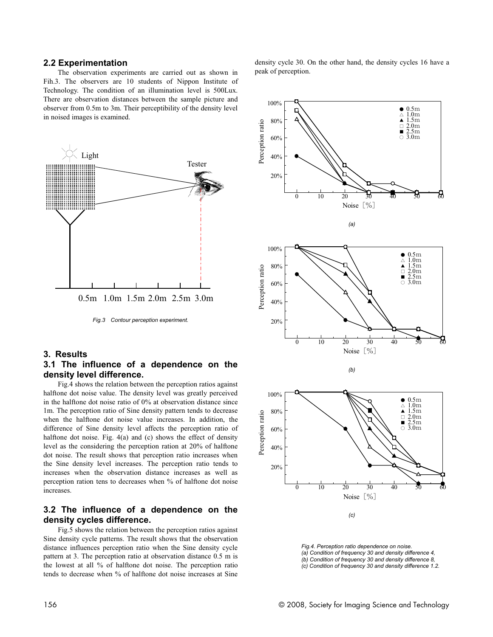#### 2.2 Experimentation

The observation experiments are carried out as shown in Fih.3. The observers are 10 students of Nippon Institute of Technology. The condition of an illumination level is 500Lux. There are observation distances between the sample picture and observer from 0.5m to 3m. Their perceptibility of the density level in noised images is examined.



Fig.3 Contour perception experiment.

#### 3. Results

# 3.1 The influence of a dependence on the density level difference.

Fig.4 shows the relation between the perception ratios against halftone dot noise value. The density level was greatly perceived in the halftone dot noise ratio of 0% at observation distance since 1m. The perception ratio of Sine density pattern tends to decrease when the halftone dot noise value increases. In addition, the difference of Sine density level affects the perception ratio of halftone dot noise. Fig.  $4(a)$  and (c) shows the effect of density level as the considering the perception ration at 20% of halftone dot noise. The result shows that perception ratio increases when the Sine density level increases. The perception ratio tends to increases when the observation distance increases as well as perception ration tens to decreases when % of halftone dot noise increases.

# 3.2 The influence of a dependence on the density cycles difference.

Fig.5 shows the relation between the perception ratios against Sine density cycle patterns. The result shows that the observation distance influences perception ratio when the Sine density cycle pattern at 3. The perception ratio at observation distance 0.5 m is the lowest at all % of halftone dot noise. The perception ratio tends to decrease when % of halftone dot noise increases at Sine density cycle 30. On the other hand, the density cycles 16 have a peak of perception.



Fia.4. Perception ratio dependence on noise. (a) Condition of frequency 30 and density difference 4. (b) Condition of frequency 30 and density difference 8, (c) Condition of frequency 30 and density difference 1.2.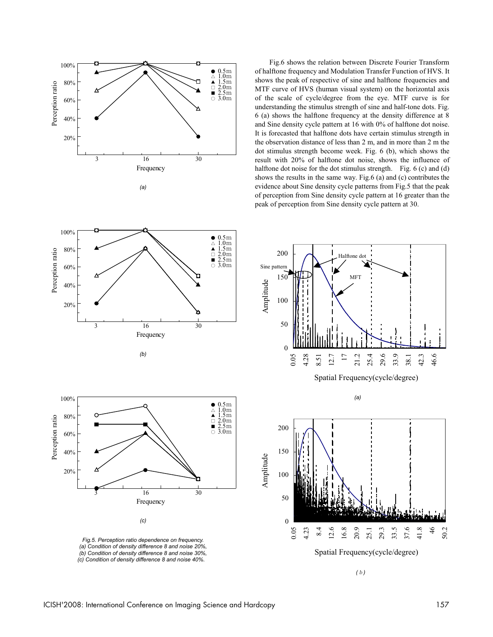

Fig.6 shows the relation between Discrete Fourier Transform of halftone frequency and Modulation Transfer Function of HVS. It shows the peak of respective of sine and halftone frequencies and MTF curve of HVS (human visual system) on the horizontal axis of the scale of cycle/degree from the eye. MTF curve is for understanding the stimulus strength of sine and half-tone dots. Fig. 6 (a) shows the halftone frequency at the density difference at 8 and Sine density cycle pattern at 16 with 0% of halftone dot noise. It is forecasted that halftone dots have certain stimulus strength in the observation distance of less than 2 m, and in more than 2 m the dot stimulus strength become week. Fig. 6 (b), which shows the result with 20% of halftone dot noise, shows the influence of halftone dot noise for the dot stimulus strength. Fig. 6 (c) and (d) shows the results in the same way. Fig.6 (a) and (c) contributes the evidence about Sine density cycle patterns from Fig.5 that the peak of perception from Sine density cycle pattern at 16 greater than the peak of perception from Sine density cycle pattern at 30.